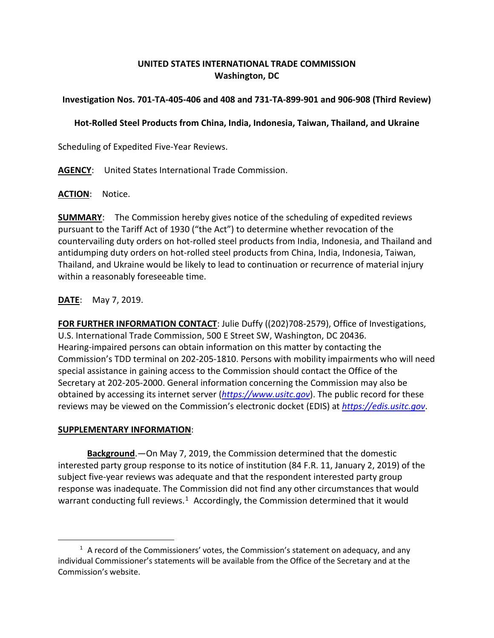## **UNITED STATES INTERNATIONAL TRADE COMMISSION Washington, DC**

# **Investigation Nos. 701-TA-405-406 and 408 and 731-TA-899-901 and 906-908 (Third Review)**

# **Hot-Rolled Steel Products from China, India, Indonesia, Taiwan, Thailand, and Ukraine**

Scheduling of Expedited Five-Year Reviews.

**AGENCY**: United States International Trade Commission.

## **ACTION**: Notice.

**SUMMARY**: The Commission hereby gives notice of the scheduling of expedited reviews pursuant to the Tariff Act of 1930 ("the Act") to determine whether revocation of the countervailing duty orders on hot-rolled steel products from India, Indonesia, and Thailand and antidumping duty orders on hot-rolled steel products from China, India, Indonesia, Taiwan, Thailand, and Ukraine would be likely to lead to continuation or recurrence of material injury within a reasonably foreseeable time.

**DATE**: May 7, 2019.

**FOR FURTHER INFORMATION CONTACT**: Julie Duffy ((202)708-2579), Office of Investigations, U.S. International Trade Commission, 500 E Street SW, Washington, DC 20436. Hearing-impaired persons can obtain information on this matter by contacting the Commission's TDD terminal on 202-205-1810. Persons with mobility impairments who will need special assistance in gaining access to the Commission should contact the Office of the Secretary at 202-205-2000. General information concerning the Commission may also be obtained by accessing its internet server (*[https://www.usitc.gov](https://www.usitc.gov/)*). The public record for these reviews may be viewed on the Commission's electronic docket (EDIS) at *[https://edis.usitc.gov](https://edis.usitc.gov/)*.

## **SUPPLEMENTARY INFORMATION**:

 $\overline{a}$ 

**Background**.—On May 7, 2019, the Commission determined that the domestic interested party group response to its notice of institution (84 F.R. 11, January 2, 2019) of the subject five-year reviews was adequate and that the respondent interested party group response was inadequate. The Commission did not find any other circumstances that would warrant conducting full reviews. $1$  Accordingly, the Commission determined that it would

<span id="page-0-0"></span> $1$  A record of the Commissioners' votes, the Commission's statement on adequacy, and any individual Commissioner's statements will be available from the Office of the Secretary and at the Commission's website.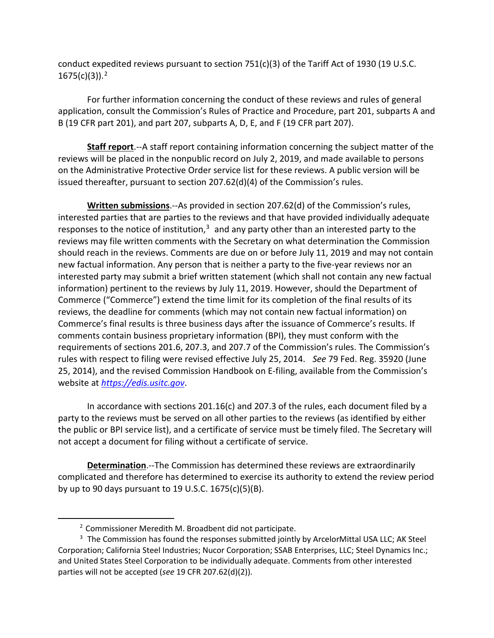conduct expedited reviews pursuant to section  $751(c)(3)$  of the Tariff Act of 1930 (19 U.S.C. 1675(c)(3)). [2](#page-1-0)

For further information concerning the conduct of these reviews and rules of general application, consult the Commission's Rules of Practice and Procedure, part 201, subparts A and B (19 CFR part 201), and part 207, subparts A, D, E, and F (19 CFR part 207).

**Staff report**.--A staff report containing information concerning the subject matter of the reviews will be placed in the nonpublic record on July 2, 2019, and made available to persons on the Administrative Protective Order service list for these reviews. A public version will be issued thereafter, pursuant to section 207.62(d)(4) of the Commission's rules.

**Written submissions**.--As provided in section 207.62(d) of the Commission's rules, interested parties that are parties to the reviews and that have provided individually adequate responses to the notice of institution, $3$  and any party other than an interested party to the reviews may file written comments with the Secretary on what determination the Commission should reach in the reviews. Comments are due on or before July 11, 2019 and may not contain new factual information. Any person that is neither a party to the five-year reviews nor an interested party may submit a brief written statement (which shall not contain any new factual information) pertinent to the reviews by July 11, 2019. However, should the Department of Commerce ("Commerce") extend the time limit for its completion of the final results of its reviews, the deadline for comments (which may not contain new factual information) on Commerce's final results is three business days after the issuance of Commerce's results. If comments contain business proprietary information (BPI), they must conform with the requirements of sections 201.6, 207.3, and 207.7 of the Commission's rules. The Commission's rules with respect to filing were revised effective July 25, 2014. *See* 79 Fed. Reg. 35920 (June 25, 2014), and the revised Commission Handbook on E-filing, available from the Commission's website at *[https://edis.usitc.gov](https://edis.usitc.gov/)*.

In accordance with sections 201.16(c) and 207.3 of the rules, each document filed by a party to the reviews must be served on all other parties to the reviews (as identified by either the public or BPI service list), and a certificate of service must be timely filed. The Secretary will not accept a document for filing without a certificate of service.

**Determination**.--The Commission has determined these reviews are extraordinarily complicated and therefore has determined to exercise its authority to extend the review period by up to 90 days pursuant to 19 U.S.C. 1675(c)(5)(B).

 $\overline{a}$ 

<sup>2</sup> Commissioner Meredith M. Broadbent did not participate.

<span id="page-1-1"></span><span id="page-1-0"></span><sup>&</sup>lt;sup>3</sup> The Commission has found the responses submitted jointly by ArcelorMittal USA LLC; AK Steel Corporation; California Steel Industries; Nucor Corporation; SSAB Enterprises, LLC; Steel Dynamics Inc.; and United States Steel Corporation to be individually adequate. Comments from other interested parties will not be accepted (*see* 19 CFR 207.62(d)(2)).